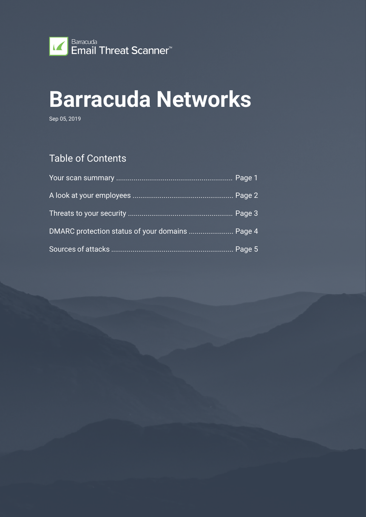

# **Barracuda Networks**

Sep 05, 2019

### Table of Contents

| DMARC protection status of your domains  Page 4 |  |
|-------------------------------------------------|--|
|                                                 |  |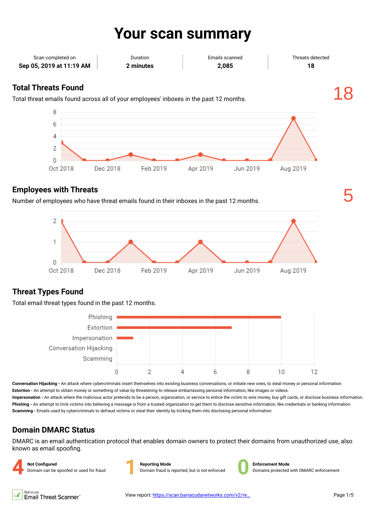## **Your scan summary**

| Scan completed on        | Duration  | Emails scanned | Threats detected |
|--------------------------|-----------|----------------|------------------|
| Sep 05, 2019 at 11:19 AM | 2 minutes | 2.085          | 18               |
|                          |           |                |                  |

### **Total Threats Found**

Total threat emails found across all of your employees' inboxes in the past 12 months. 18



#### **Employees with Threats**

Number of employees who have threat emails found in their inboxes in the past 12 months. 5



### **Threat Types Found**

Total email threat types found in the past 12 months.



**Conversation Hijacking -** An attack where cybercriminals insert themselves into existing business conversations, or initiate new ones, to steal money or personal information. **Extortion -** An attempt to obtain money or something of value by threatening to release embarrassing personal information, like images or videos.

**Impersonation -** An attack where the malicious actor pretends to be a person, organization, or service to entice the victim to wire money, buy gift cards, or disclose business information. **Phishing -** An attempt to trick victims into believing a message is from a trusted organization to get them to disclose sensitive information, like credentials or banking information. **Scamming -** Emails used by cybercriminals to defraud victims or steal their identity by tricking them into disclosing personal information.

### **Domain DMARC Status**

DMARC is an email authentication protocol that enables domain owners to protect their domains from unauthorized use, also known as email spoofing.



**Reporting Mode** Domain fraud is reported, but is not enforced **0**



**Enforcement Mode** Domains protected with DMARC enforcement

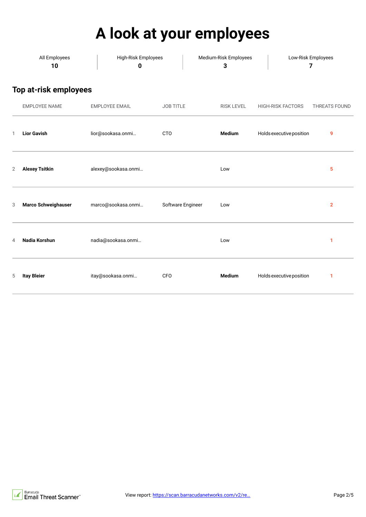# **A look at your employees**

|   | All Employees<br>10          | High-Risk Employees<br>$\pmb{0}$ |                   | Medium-Risk Employees<br>3 |                          | Low-Risk Employees<br>7 |  |
|---|------------------------------|----------------------------------|-------------------|----------------------------|--------------------------|-------------------------|--|
|   | <b>Top at-risk employees</b> |                                  |                   |                            |                          |                         |  |
|   | <b>EMPLOYEE NAME</b>         | <b>EMPLOYEE EMAIL</b>            | <b>JOB TITLE</b>  | <b>RISK LEVEL</b>          | <b>HIGH-RISK FACTORS</b> | THREATS FOUND           |  |
| 1 | <b>Lior Gavish</b>           | lior@sookasa.onmi                | <b>CTO</b>        | Medium                     | Holds executive position | 9                       |  |
| 2 | <b>Alexey Tsitkin</b>        | alexey@sookasa.onmi              |                   | Low                        |                          | 5                       |  |
| 3 | Marco Schweighauser          | marco@sookasa.onmi               | Software Engineer | Low                        |                          | $\overline{\mathbf{2}}$ |  |
| 4 | Nadia Korshun                | nadia@sookasa.onmi               |                   | Low                        |                          | 1                       |  |
| 5 | <b>Itay Bleier</b>           | itay@sookasa.onmi                | CFO               | <b>Medium</b>              | Holds executive position | 1                       |  |

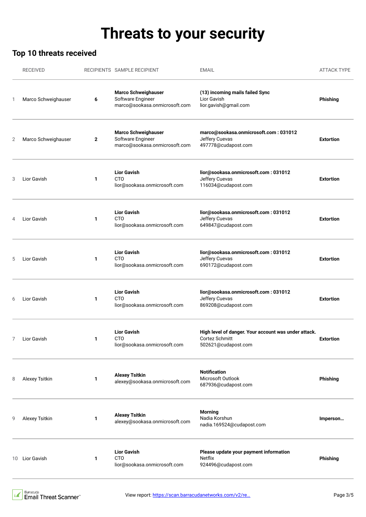## **Threats to your security**

### **Top 10 threats received**

|    | <b>RECEIVED</b>     |              | RECIPIENTS SAMPLE RECIPIENT                                                      | <b>EMAIL</b>                                                                                  | <b>ATTACK TYPE</b> |
|----|---------------------|--------------|----------------------------------------------------------------------------------|-----------------------------------------------------------------------------------------------|--------------------|
| 1  | Marco Schweighauser | 6            | <b>Marco Schweighauser</b><br>Software Engineer<br>marco@sookasa.onmicrosoft.com | (13) incoming mails failed Sync<br>Lior Gavish<br>lior.gavish@gmail.com                       | Phishing           |
| 2  | Marco Schweighauser | $\mathbf{2}$ | <b>Marco Schweighauser</b><br>Software Engineer<br>marco@sookasa.onmicrosoft.com | marco@sookasa.onmicrosoft.com: 031012<br>Jeffery Cuevas<br>497778@cudapost.com                | <b>Extortion</b>   |
| 3  | Lior Gavish         | 1            | <b>Lior Gavish</b><br><b>CTO</b><br>lior@sookasa.onmicrosoft.com                 | lior@sookasa.onmicrosoft.com: 031012<br>Jeffery Cuevas<br>116034@cudapost.com                 | <b>Extortion</b>   |
| 4  | Lior Gavish         | 1            | <b>Lior Gavish</b><br><b>CTO</b><br>lior@sookasa.onmicrosoft.com                 | lior@sookasa.onmicrosoft.com: 031012<br>Jeffery Cuevas<br>649847@cudapost.com                 | <b>Extortion</b>   |
| 5  | Lior Gavish         | 1            | <b>Lior Gavish</b><br><b>CTO</b><br>lior@sookasa.onmicrosoft.com                 | lior@sookasa.onmicrosoft.com: 031012<br>Jeffery Cuevas<br>690172@cudapost.com                 | <b>Extortion</b>   |
| 6  | Lior Gavish         | 1            | <b>Lior Gavish</b><br><b>CTO</b><br>lior@sookasa.onmicrosoft.com                 | lior@sookasa.onmicrosoft.com: 031012<br>Jeffery Cuevas<br>869208@cudapost.com                 | <b>Extortion</b>   |
| 7  | Lior Gavish         | 1            | <b>Lior Gavish</b><br>CTO<br>lior@sookasa.onmicrosoft.com                        | High level of danger. Your account was under attack.<br>Cortez Schmitt<br>502621@cudapost.com | <b>Extortion</b>   |
| 8  | Alexey Tsitkin      | 1            | <b>Alexey Tsitkin</b><br>alexey@sookasa.onmicrosoft.com                          | <b>Notification</b><br>Microsoft Outlook<br>687936@cudapost.com                               | Phishing           |
|    | Alexey Tsitkin      | 1            | <b>Alexey Tsitkin</b><br>alexey@sookasa.onmicrosoft.com                          | <b>Morning</b><br>Nadia Korshun<br>nadia.169524@cudapost.com                                  | Imperson           |
| 10 | Lior Gavish         | 1            | <b>Lior Gavish</b><br><b>CTO</b><br>lior@sookasa.onmicrosoft.com                 | Please update your payment information<br>Netflix<br>924496@cudapost.com                      | Phishing           |
|    |                     |              |                                                                                  |                                                                                               |                    |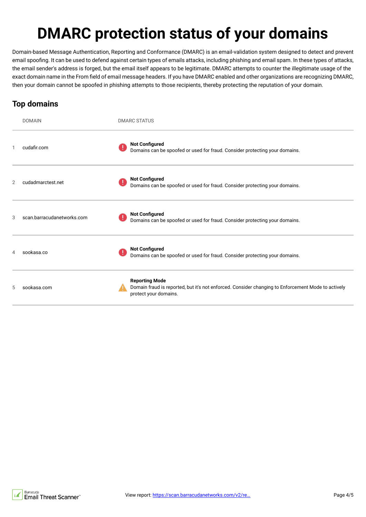# **DMARC protection status of your domains**

Domain-based Message Authentication, Reporting and Conformance (DMARC) is an email-validation system designed to detect and prevent email spoofing. It can be used to defend against certain types of emails attacks, including phishing and email spam. In these types of attacks, the email sender's address is forged, but the email itself appears to be legitimate. DMARC attempts to counter the illegitimate usage of the exact domain name in the From field of email message headers. If you have DMARC enabled and other organizations are recognizing DMARC, then your domain cannot be spoofed in phishing attempts to those recipients, thereby protecting the reputation of your domain.

### **Top domains**

|   | <b>DOMAIN</b>              |    | <b>DMARC STATUS</b>                                                                                                                                  |
|---|----------------------------|----|------------------------------------------------------------------------------------------------------------------------------------------------------|
| 1 | cudafir.com                | U. | <b>Not Configured</b><br>Domains can be spoofed or used for fraud. Consider protecting your domains.                                                 |
| 2 | cudadmarctest.net          |    | <b>Not Configured</b><br>Domains can be spoofed or used for fraud. Consider protecting your domains.                                                 |
| 3 | scan.barracudanetworks.com |    | <b>Not Configured</b><br>Domains can be spoofed or used for fraud. Consider protecting your domains.                                                 |
| 4 | sookasa.co                 |    | <b>Not Configured</b><br>Domains can be spoofed or used for fraud. Consider protecting your domains.                                                 |
| 5 | sookasa.com                |    | <b>Reporting Mode</b><br>Domain fraud is reported, but it's not enforced. Consider changing to Enforcement Mode to actively<br>protect your domains. |